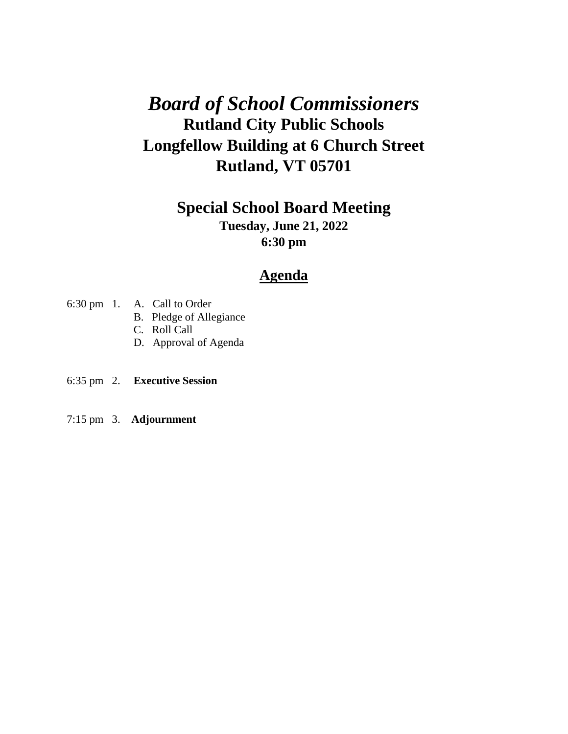# *Board of School Commissioners* **Rutland City Public Schools Longfellow Building at 6 Church Street Rutland, VT 05701**

## **Special School Board Meeting**

**Tuesday, June 21, 2022 6:30 pm**

## **Agenda**

- 6:30 pm 1. A. Call to Order
	- B. Pledge of Allegiance
		- C. Roll Call
		- D. Approval of Agenda
- 6:35 pm 2. **Executive Session**
- 7:15 pm 3. **Adjournment**